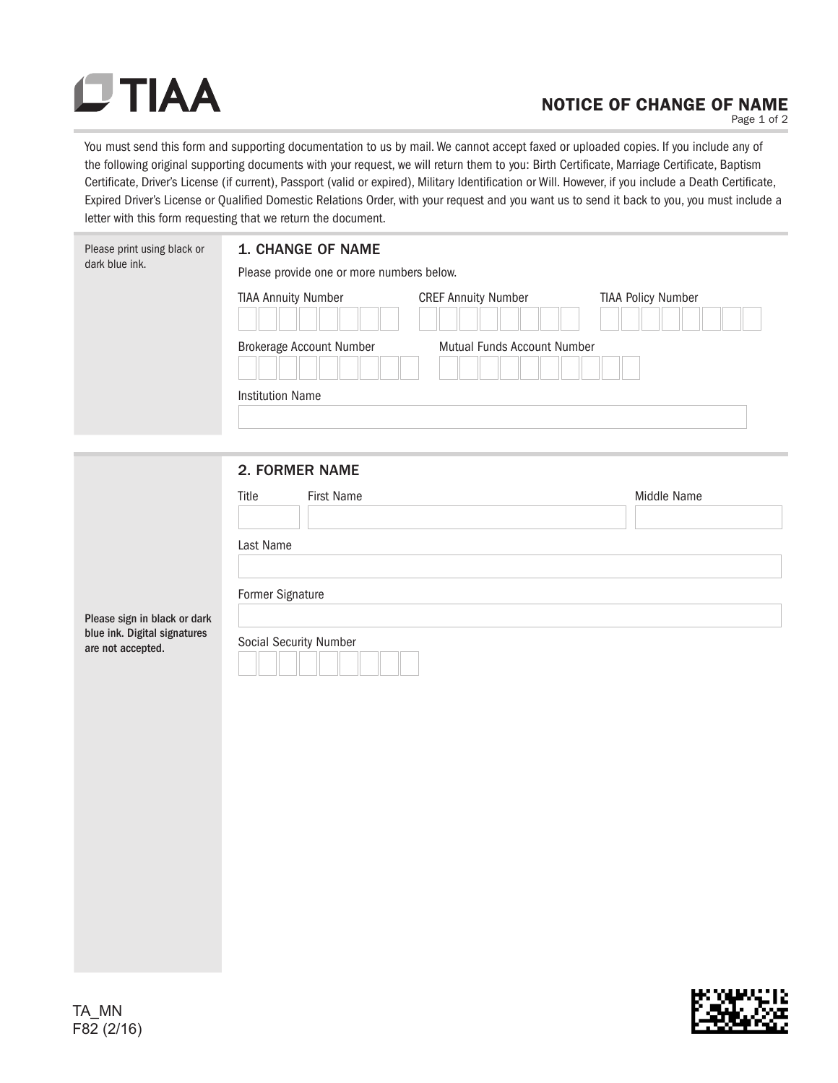

## NOTICE OF CHANGE OF NAME

Page 1 of 2

You must send this form and supporting documentation to us by mail. We cannot accept faxed or uploaded copies. If you include any of the following original supporting documents with your request, we will return them to you: Birth Certificate, Marriage Certificate, Baptism Certificate, Driver's License (if current), Passport (valid or expired), Military Identification or Will. However, if you include a Death Certificate, Expired Driver's License or Qualified Domestic Relations Order, with your request and you want us to send it back to you, you must include a letter with this form requesting that we return the document.

| Please print using black or | <b>1. CHANGE OF NAME</b>                  |                             |                           |  |  |
|-----------------------------|-------------------------------------------|-----------------------------|---------------------------|--|--|
| dark blue ink.              | Please provide one or more numbers below. |                             |                           |  |  |
|                             | <b>TIAA Annuity Number</b>                | <b>CREF Annuity Number</b>  | <b>TIAA Policy Number</b> |  |  |
|                             | <b>Brokerage Account Number</b>           | Mutual Funds Account Number |                           |  |  |
|                             | <b>Institution Name</b>                   |                             |                           |  |  |
|                             |                                           |                             |                           |  |  |
|                             | <b>2. FORMER NAME</b>                     |                             |                           |  |  |
|                             | Title<br><b>First Name</b>                |                             | Middle Name               |  |  |
|                             | Last Name                                 |                             |                           |  |  |
|                             | Former Signature                          |                             |                           |  |  |

Please sign in black or dark blue ink. Digital signatures are not accepted.

|  | <b>Social Security Number</b> |  |
|--|-------------------------------|--|
|  |                               |  |